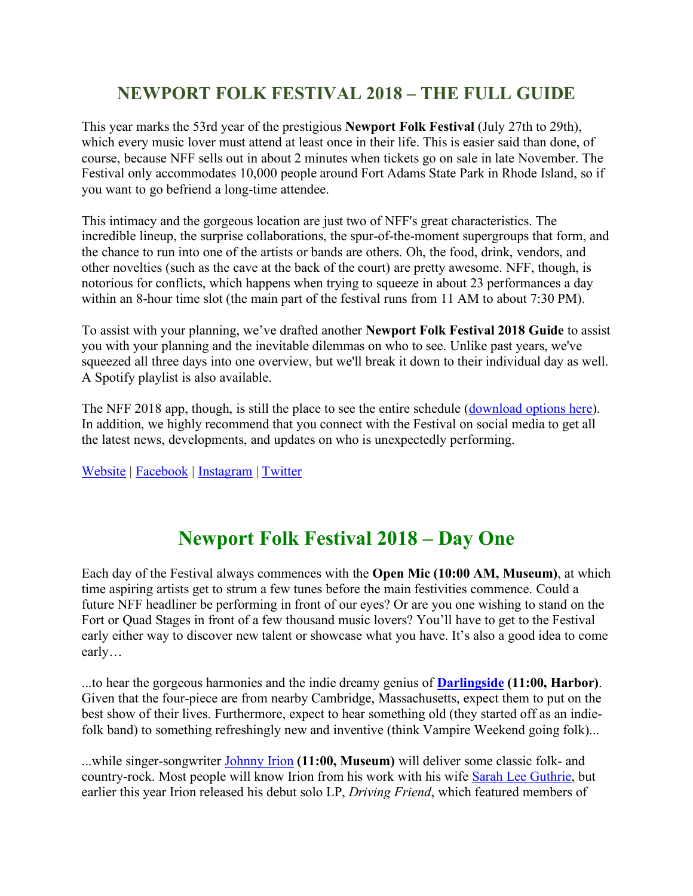## **NEWPORT FOLK FESTIVAL 2018 – THE FULL GUIDE**

This year marks the 53rd year of the prestigious **Newport Folk Festival** (July 27th to 29th), which every music lover must attend at least once in their life. This is easier said than done, of course, because NFF sells out in about 2 minutes when tickets go on sale in late November. The Festival only accommodates 10,000 people around Fort Adams State Park in Rhode Island, so if you want to go befriend a long-time attendee.

This intimacy and the gorgeous location are just two of NFF's great characteristics. The incredible lineup, the surprise collaborations, the spur-of-the-moment supergroups that form, and the chance to run into one of the artists or bands are others. Oh, the food, drink, vendors, and other novelties (such as the cave at the back of the court) are pretty awesome. NFF, though, is notorious for conflicts, which happens when trying to squeeze in about 23 performances a day within an 8-hour time slot (the main part of the festival runs from 11 AM to about 7:30 PM).

To assist with your planning, we've drafted another **Newport Folk Festival 2018 Guide** to assist you with your planning and the inevitable dilemmas on who to see. Unlike past years, we've squeezed all three days into one overview, but we'll break it down to their individual day as well. A Spotify playlist is also available.

The NFF 2018 app, though, is still the place to see the entire schedule (download options here). In addition, we highly recommend that you connect with the Festival on social media to get all the latest news, developments, and updates on who is unexpectedly performing.

Website | Facebook | Instagram | Twitter

## **Newport Folk Festival 2018 – Day One**

Each day of the Festival always commences with the **Open Mic (10:00 AM, Museum)**, at which time aspiring artists get to strum a few tunes before the main festivities commence. Could a future NFF headliner be performing in front of our eyes? Or are you one wishing to stand on the Fort or Quad Stages in front of a few thousand music lovers? You'll have to get to the Festival early either way to discover new talent or showcase what you have. It's also a good idea to come early…

...to hear the gorgeous harmonies and the indie dreamy genius of **Darlingside (11:00, Harbor)**. Given that the four-piece are from nearby Cambridge, Massachusetts, expect them to put on the best show of their lives. Furthermore, expect to hear something old (they started off as an indiefolk band) to something refreshingly new and inventive (think Vampire Weekend going folk)...

...while singer-songwriter Johnny Irion **(11:00, Museum)** will deliver some classic folk- and country-rock. Most people will know Irion from his work with his wife Sarah Lee Guthrie, but earlier this year Irion released his debut solo LP, *Driving Friend*, which featured members of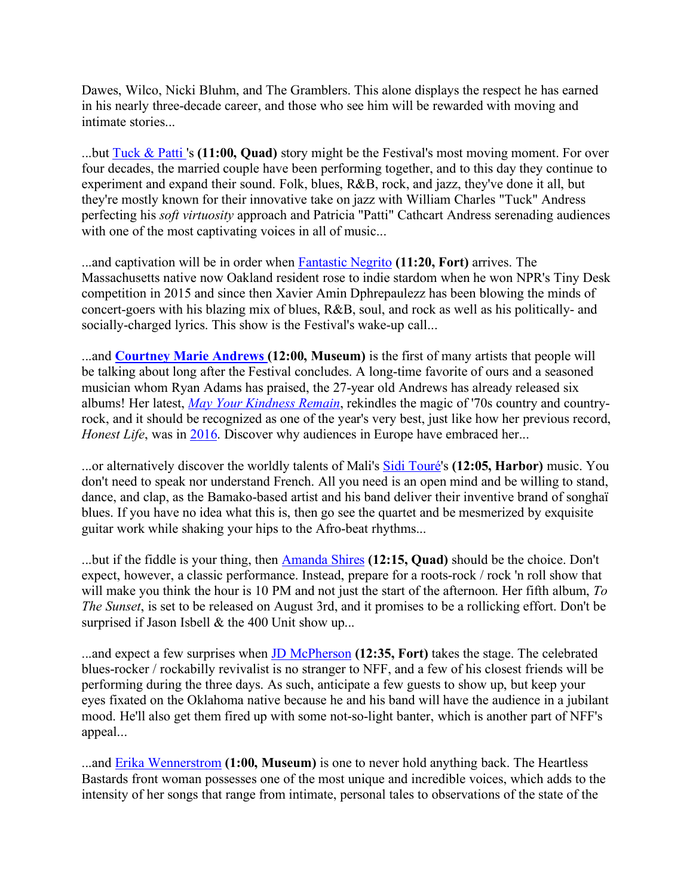Dawes, Wilco, Nicki Bluhm, and The Gramblers. This alone displays the respect he has earned in his nearly three-decade career, and those who see him will be rewarded with moving and intimate stories...

...but Tuck & Patti 's **(11:00, Quad)** story might be the Festival's most moving moment. For over four decades, the married couple have been performing together, and to this day they continue to experiment and expand their sound. Folk, blues, R&B, rock, and jazz, they've done it all, but they're mostly known for their innovative take on jazz with William Charles "Tuck" Andress perfecting his *soft virtuosity* approach and Patricia "Patti" Cathcart Andress serenading audiences with one of the most captivating voices in all of music...

...and captivation will be in order when Fantastic Negrito **(11:20, Fort)** arrives. The Massachusetts native now Oakland resident rose to indie stardom when he won NPR's Tiny Desk competition in 2015 and since then Xavier Amin Dphrepaulezz has been blowing the minds of concert-goers with his blazing mix of blues, R&B, soul, and rock as well as his politically- and socially-charged lyrics. This show is the Festival's wake-up call...

...and **Courtney Marie Andrews (12:00, Museum)** is the first of many artists that people will be talking about long after the Festival concludes. A long-time favorite of ours and a seasoned musician whom Ryan Adams has praised, the 27-year old Andrews has already released six albums! Her latest, *May Your Kindness Remain*, rekindles the magic of '70s country and countryrock, and it should be recognized as one of the year's very best, just like how her previous record, *Honest Life*, was in 2016. Discover why audiences in Europe have embraced her...

...or alternatively discover the worldly talents of Mali's Sidi Touré's **(12:05, Harbor)** music. You don't need to speak nor understand French. All you need is an open mind and be willing to stand, dance, and clap, as the Bamako-based artist and his band deliver their inventive brand of songhaï blues. If you have no idea what this is, then go see the quartet and be mesmerized by exquisite guitar work while shaking your hips to the Afro-beat rhythms...

...but if the fiddle is your thing, then Amanda Shires **(12:15, Quad)** should be the choice. Don't expect, however, a classic performance. Instead, prepare for a roots-rock / rock 'n roll show that will make you think the hour is 10 PM and not just the start of the afternoon. Her fifth album, *To The Sunset*, is set to be released on August 3rd, and it promises to be a rollicking effort. Don't be surprised if Jason Isbell & the 400 Unit show up...

...and expect a few surprises when JD McPherson **(12:35, Fort)** takes the stage. The celebrated blues-rocker / rockabilly revivalist is no stranger to NFF, and a few of his closest friends will be performing during the three days. As such, anticipate a few guests to show up, but keep your eyes fixated on the Oklahoma native because he and his band will have the audience in a jubilant mood. He'll also get them fired up with some not-so-light banter, which is another part of NFF's appeal...

...and Erika Wennerstrom **(1:00, Museum)** is one to never hold anything back. The Heartless Bastards front woman possesses one of the most unique and incredible voices, which adds to the intensity of her songs that range from intimate, personal tales to observations of the state of the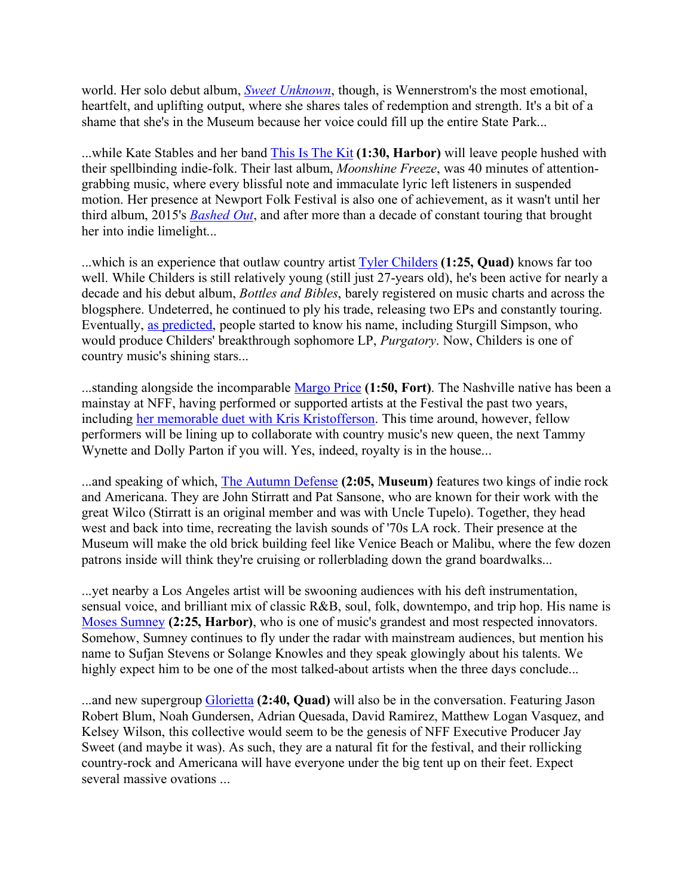world. Her solo debut album, *Sweet Unknown*, though, is Wennerstrom's the most emotional, heartfelt, and uplifting output, where she shares tales of redemption and strength. It's a bit of a shame that she's in the Museum because her voice could fill up the entire State Park...

...while Kate Stables and her band This Is The Kit **(1:30, Harbor)** will leave people hushed with their spellbinding indie-folk. Their last album, *Moonshine Freeze*, was 40 minutes of attentiongrabbing music, where every blissful note and immaculate lyric left listeners in suspended motion. Her presence at Newport Folk Festival is also one of achievement, as it wasn't until her third album, 2015's *Bashed Out*, and after more than a decade of constant touring that brought her into indie limelight...

...which is an experience that outlaw country artist Tyler Childers **(1:25, Quad)** knows far too well. While Childers is still relatively young (still just 27-years old), he's been active for nearly a decade and his debut album, *Bottles and Bibles*, barely registered on music charts and across the blogsphere. Undeterred, he continued to ply his trade, releasing two EPs and constantly touring. Eventually, as predicted, people started to know his name, including Sturgill Simpson, who would produce Childers' breakthrough sophomore LP, *Purgatory*. Now, Childers is one of country music's shining stars...

...standing alongside the incomparable Margo Price **(1:50, Fort)**. The Nashville native has been a mainstay at NFF, having performed or supported artists at the Festival the past two years, including her memorable duet with Kris Kristofferson. This time around, however, fellow performers will be lining up to collaborate with country music's new queen, the next Tammy Wynette and Dolly Parton if you will. Yes, indeed, royalty is in the house...

...and speaking of which, The Autumn Defense **(2:05, Museum)** features two kings of indie rock and Americana. They are John Stirratt and Pat Sansone, who are known for their work with the great Wilco (Stirratt is an original member and was with Uncle Tupelo). Together, they head west and back into time, recreating the lavish sounds of '70s LA rock. Their presence at the Museum will make the old brick building feel like Venice Beach or Malibu, where the few dozen patrons inside will think they're cruising or rollerblading down the grand boardwalks...

...yet nearby a Los Angeles artist will be swooning audiences with his deft instrumentation, sensual voice, and brilliant mix of classic R&B, soul, folk, downtempo, and trip hop. His name is Moses Sumney **(2:25, Harbor)**, who is one of music's grandest and most respected innovators. Somehow, Sumney continues to fly under the radar with mainstream audiences, but mention his name to Sufjan Stevens or Solange Knowles and they speak glowingly about his talents. We highly expect him to be one of the most talked-about artists when the three days conclude...

...and new supergroup Glorietta **(2:40, Quad)** will also be in the conversation. Featuring Jason Robert Blum, Noah Gundersen, Adrian Quesada, David Ramirez, Matthew Logan Vasquez, and Kelsey Wilson, this collective would seem to be the genesis of NFF Executive Producer Jay Sweet (and maybe it was). As such, they are a natural fit for the festival, and their rollicking country-rock and Americana will have everyone under the big tent up on their feet. Expect several massive ovations ...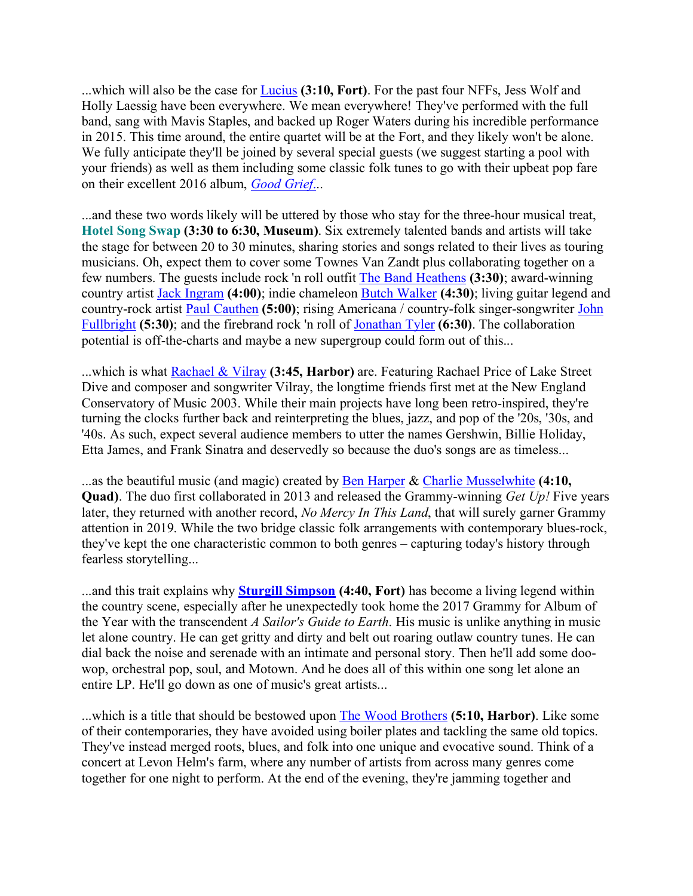...which will also be the case for Lucius **(3:10, Fort)**. For the past four NFFs, Jess Wolf and Holly Laessig have been everywhere. We mean everywhere! They've performed with the full band, sang with Mavis Staples, and backed up Roger Waters during his incredible performance in 2015. This time around, the entire quartet will be at the Fort, and they likely won't be alone. We fully anticipate they'll be joined by several special guests (we suggest starting a pool with your friends) as well as them including some classic folk tunes to go with their upbeat pop fare on their excellent 2016 album, *Good Grief*...

...and these two words likely will be uttered by those who stay for the three-hour musical treat, **Hotel Song Swap (3:30 to 6:30, Museum)**. Six extremely talented bands and artists will take the stage for between 20 to 30 minutes, sharing stories and songs related to their lives as touring musicians. Oh, expect them to cover some Townes Van Zandt plus collaborating together on a few numbers. The guests include rock 'n roll outfit The Band Heathens **(3:30)**; award-winning country artist Jack Ingram **(4:00)**; indie chameleon Butch Walker **(4:30)**; living guitar legend and country-rock artist Paul Cauthen **(5:00)**; rising Americana / country-folk singer-songwriter John Fullbright **(5:30)**; and the firebrand rock 'n roll of Jonathan Tyler **(6:30)**. The collaboration potential is off-the-charts and maybe a new supergroup could form out of this...

...which is what Rachael & Vilray **(3:45, Harbor)** are. Featuring Rachael Price of Lake Street Dive and composer and songwriter Vilray, the longtime friends first met at the New England Conservatory of Music 2003. While their main projects have long been retro-inspired, they're turning the clocks further back and reinterpreting the blues, jazz, and pop of the '20s, '30s, and '40s. As such, expect several audience members to utter the names Gershwin, Billie Holiday, Etta James, and Frank Sinatra and deservedly so because the duo's songs are as timeless...

...as the beautiful music (and magic) created by Ben Harper & Charlie Musselwhite **(4:10, Quad)**. The duo first collaborated in 2013 and released the Grammy-winning *Get Up!* Five years later, they returned with another record, *No Mercy In This Land*, that will surely garner Grammy attention in 2019. While the two bridge classic folk arrangements with contemporary blues-rock, they've kept the one characteristic common to both genres – capturing today's history through fearless storytelling...

...and this trait explains why **Sturgill Simpson (4:40, Fort)** has become a living legend within the country scene, especially after he unexpectedly took home the 2017 Grammy for Album of the Year with the transcendent *A Sailor's Guide to Earth*. His music is unlike anything in music let alone country. He can get gritty and dirty and belt out roaring outlaw country tunes. He can dial back the noise and serenade with an intimate and personal story. Then he'll add some doowop, orchestral pop, soul, and Motown. And he does all of this within one song let alone an entire LP. He'll go down as one of music's great artists...

...which is a title that should be bestowed upon The Wood Brothers **(5:10, Harbor)**. Like some of their contemporaries, they have avoided using boiler plates and tackling the same old topics. They've instead merged roots, blues, and folk into one unique and evocative sound. Think of a concert at Levon Helm's farm, where any number of artists from across many genres come together for one night to perform. At the end of the evening, they're jamming together and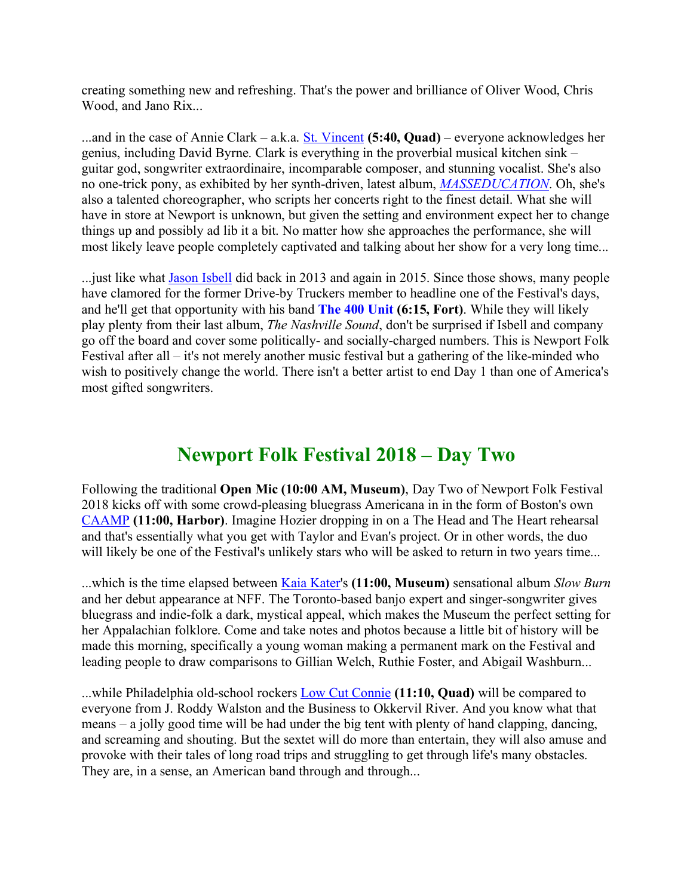creating something new and refreshing. That's the power and brilliance of Oliver Wood, Chris Wood, and Jano Rix...

...and in the case of Annie Clark – a.k.a. St. Vincent **(5:40, Quad)** – everyone acknowledges her genius, including David Byrne. Clark is everything in the proverbial musical kitchen sink – guitar god, songwriter extraordinaire, incomparable composer, and stunning vocalist. She's also no one-trick pony, as exhibited by her synth-driven, latest album, *MASSEDUCATION*. Oh, she's also a talented choreographer, who scripts her concerts right to the finest detail. What she will have in store at Newport is unknown, but given the setting and environment expect her to change things up and possibly ad lib it a bit. No matter how she approaches the performance, she will most likely leave people completely captivated and talking about her show for a very long time...

...just like what Jason Isbell did back in 2013 and again in 2015. Since those shows, many people have clamored for the former Drive-by Truckers member to headline one of the Festival's days, and he'll get that opportunity with his band **The 400 Unit (6:15, Fort)**. While they will likely play plenty from their last album, *The Nashville Sound*, don't be surprised if Isbell and company go off the board and cover some politically- and socially-charged numbers. This is Newport Folk Festival after all – it's not merely another music festival but a gathering of the like-minded who wish to positively change the world. There isn't a better artist to end Day 1 than one of America's most gifted songwriters.

## **Newport Folk Festival 2018 – Day Two**

Following the traditional **Open Mic (10:00 AM, Museum)**, Day Two of Newport Folk Festival 2018 kicks off with some crowd-pleasing bluegrass Americana in in the form of Boston's own CAAMP **(11:00, Harbor)**. Imagine Hozier dropping in on a The Head and The Heart rehearsal and that's essentially what you get with Taylor and Evan's project. Or in other words, the duo will likely be one of the Festival's unlikely stars who will be asked to return in two years time...

...which is the time elapsed between Kaia Kater's **(11:00, Museum)** sensational album *Slow Burn* and her debut appearance at NFF. The Toronto-based banjo expert and singer-songwriter gives bluegrass and indie-folk a dark, mystical appeal, which makes the Museum the perfect setting for her Appalachian folklore. Come and take notes and photos because a little bit of history will be made this morning, specifically a young woman making a permanent mark on the Festival and leading people to draw comparisons to Gillian Welch, Ruthie Foster, and Abigail Washburn...

...while Philadelphia old-school rockers Low Cut Connie **(11:10, Quad)** will be compared to everyone from J. Roddy Walston and the Business to Okkervil River. And you know what that means – a jolly good time will be had under the big tent with plenty of hand clapping, dancing, and screaming and shouting. But the sextet will do more than entertain, they will also amuse and provoke with their tales of long road trips and struggling to get through life's many obstacles. They are, in a sense, an American band through and through...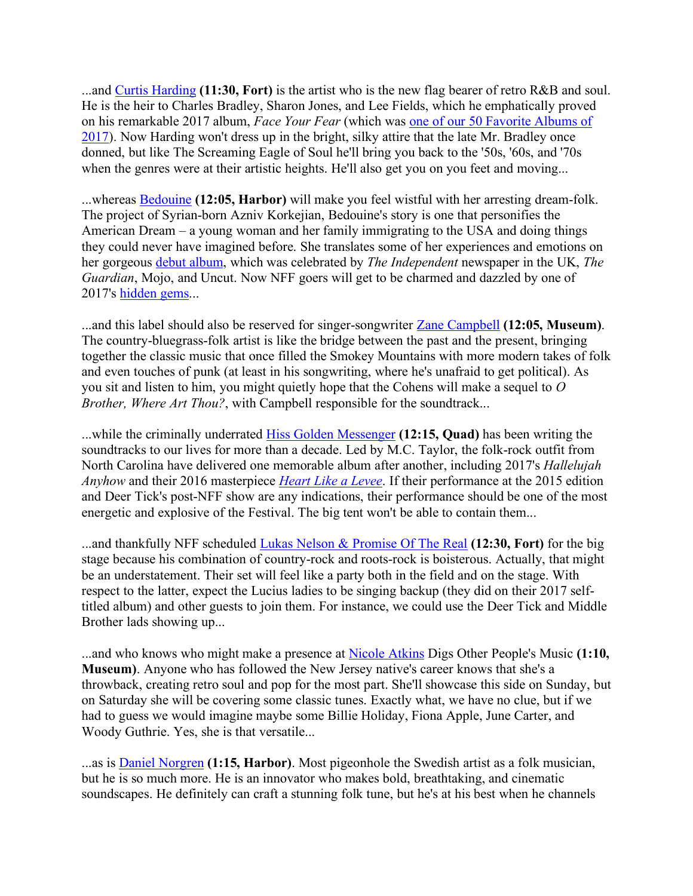...and Curtis Harding **(11:30, Fort)** is the artist who is the new flag bearer of retro R&B and soul. He is the heir to Charles Bradley, Sharon Jones, and Lee Fields, which he emphatically proved on his remarkable 2017 album, *Face Your Fear* (which was one of our 50 Favorite Albums of 2017). Now Harding won't dress up in the bright, silky attire that the late Mr. Bradley once donned, but like The Screaming Eagle of Soul he'll bring you back to the '50s, '60s, and '70s when the genres were at their artistic heights. He'll also get you on you feet and moving...

...whereas Bedouine **(12:05, Harbor)** will make you feel wistful with her arresting dream-folk. The project of Syrian-born Azniv Korkejian, Bedouine's story is one that personifies the American Dream – a young woman and her family immigrating to the USA and doing things they could never have imagined before. She translates some of her experiences and emotions on her gorgeous debut album, which was celebrated by *The Independent* newspaper in the UK, *The Guardian*, Mojo, and Uncut. Now NFF goers will get to be charmed and dazzled by one of 2017's hidden gems...

...and this label should also be reserved for singer-songwriter Zane Campbell **(12:05, Museum)**. The country-bluegrass-folk artist is like the bridge between the past and the present, bringing together the classic music that once filled the Smokey Mountains with more modern takes of folk and even touches of punk (at least in his songwriting, where he's unafraid to get political). As you sit and listen to him, you might quietly hope that the Cohens will make a sequel to *O Brother, Where Art Thou?*, with Campbell responsible for the soundtrack...

...while the criminally underrated Hiss Golden Messenger **(12:15, Quad)** has been writing the soundtracks to our lives for more than a decade. Led by M.C. Taylor, the folk-rock outfit from North Carolina have delivered one memorable album after another, including 2017's *Hallelujah Anyhow* and their 2016 masterpiece *Heart Like a Levee*. If their performance at the 2015 edition and Deer Tick's post-NFF show are any indications, their performance should be one of the most energetic and explosive of the Festival. The big tent won't be able to contain them...

...and thankfully NFF scheduled Lukas Nelson & Promise Of The Real **(12:30, Fort)** for the big stage because his combination of country-rock and roots-rock is boisterous. Actually, that might be an understatement. Their set will feel like a party both in the field and on the stage. With respect to the latter, expect the Lucius ladies to be singing backup (they did on their 2017 selftitled album) and other guests to join them. For instance, we could use the Deer Tick and Middle Brother lads showing up...

...and who knows who might make a presence at Nicole Atkins Digs Other People's Music **(1:10, Museum)**. Anyone who has followed the New Jersey native's career knows that she's a throwback, creating retro soul and pop for the most part. She'll showcase this side on Sunday, but on Saturday she will be covering some classic tunes. Exactly what, we have no clue, but if we had to guess we would imagine maybe some Billie Holiday, Fiona Apple, June Carter, and Woody Guthrie. Yes, she is that versatile...

...as is Daniel Norgren **(1:15, Harbor)**. Most pigeonhole the Swedish artist as a folk musician, but he is so much more. He is an innovator who makes bold, breathtaking, and cinematic soundscapes. He definitely can craft a stunning folk tune, but he's at his best when he channels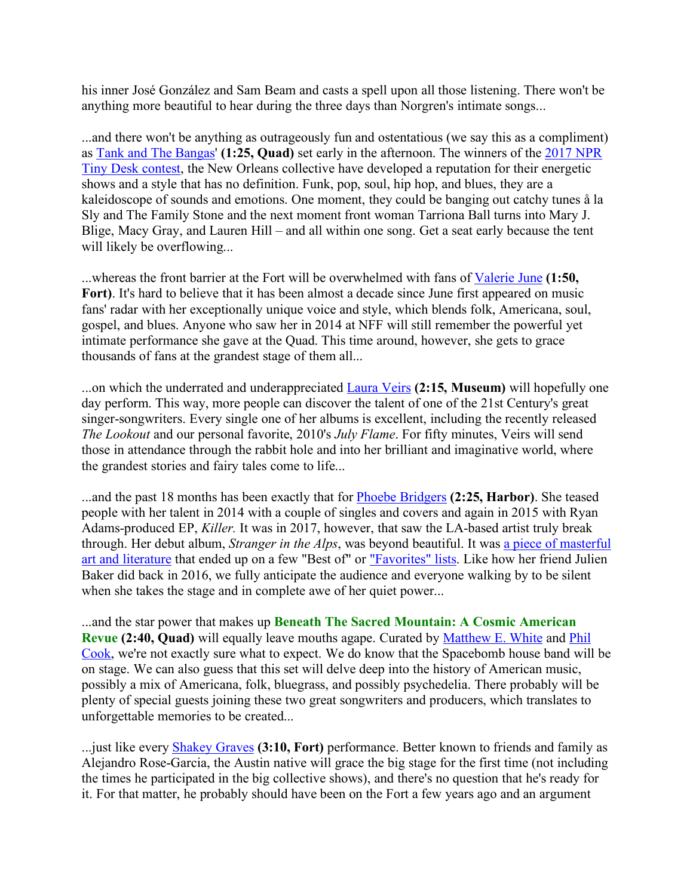his inner José González and Sam Beam and casts a spell upon all those listening. There won't be anything more beautiful to hear during the three days than Norgren's intimate songs...

...and there won't be anything as outrageously fun and ostentatious (we say this as a compliment) as Tank and The Bangas' **(1:25, Quad)** set early in the afternoon. The winners of the 2017 NPR Tiny Desk contest, the New Orleans collective have developed a reputation for their energetic shows and a style that has no definition. Funk, pop, soul, hip hop, and blues, they are a kaleidoscope of sounds and emotions. One moment, they could be banging out catchy tunes å la Sly and The Family Stone and the next moment front woman Tarriona Ball turns into Mary J. Blige, Macy Gray, and Lauren Hill – and all within one song. Get a seat early because the tent will likely be overflowing...

...whereas the front barrier at the Fort will be overwhelmed with fans of Valerie June **(1:50,**  Fort). It's hard to believe that it has been almost a decade since June first appeared on music fans' radar with her exceptionally unique voice and style, which blends folk, Americana, soul, gospel, and blues. Anyone who saw her in 2014 at NFF will still remember the powerful yet intimate performance she gave at the Quad. This time around, however, she gets to grace thousands of fans at the grandest stage of them all...

...on which the underrated and underappreciated Laura Veirs **(2:15, Museum)** will hopefully one day perform. This way, more people can discover the talent of one of the 21st Century's great singer-songwriters. Every single one of her albums is excellent, including the recently released *The Lookout* and our personal favorite, 2010's *July Flame*. For fifty minutes, Veirs will send those in attendance through the rabbit hole and into her brilliant and imaginative world, where the grandest stories and fairy tales come to life...

...and the past 18 months has been exactly that for Phoebe Bridgers **(2:25, Harbor)**. She teased people with her talent in 2014 with a couple of singles and covers and again in 2015 with Ryan Adams-produced EP, *Killer.* It was in 2017, however, that saw the LA-based artist truly break through. Her debut album, *Stranger in the Alps*, was beyond beautiful. It was a piece of masterful art and literature that ended up on a few "Best of" or "Favorites" lists. Like how her friend Julien Baker did back in 2016, we fully anticipate the audience and everyone walking by to be silent when she takes the stage and in complete awe of her quiet power...

...and the star power that makes up **Beneath The Sacred Mountain: A Cosmic American Revue (2:40, Quad)** will equally leave mouths agape. Curated by Matthew E. White and Phil Cook, we're not exactly sure what to expect. We do know that the Spacebomb house band will be on stage. We can also guess that this set will delve deep into the history of American music, possibly a mix of Americana, folk, bluegrass, and possibly psychedelia. There probably will be plenty of special guests joining these two great songwriters and producers, which translates to unforgettable memories to be created...

...just like every Shakey Graves **(3:10, Fort)** performance. Better known to friends and family as Alejandro Rose-Garcia, the Austin native will grace the big stage for the first time (not including the times he participated in the big collective shows), and there's no question that he's ready for it. For that matter, he probably should have been on the Fort a few years ago and an argument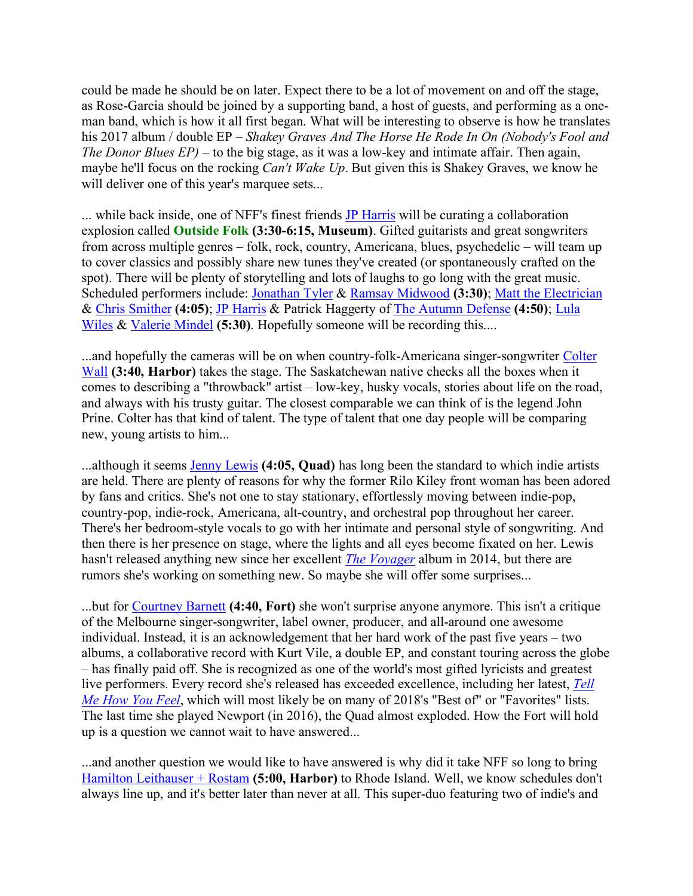could be made he should be on later. Expect there to be a lot of movement on and off the stage, as Rose-Garcia should be joined by a supporting band, a host of guests, and performing as a oneman band, which is how it all first began. What will be interesting to observe is how he translates his 2017 album / double EP – *Shakey Graves And The Horse He Rode In On (Nobody's Fool and The Donor Blues EP)* – to the big stage, as it was a low-key and intimate affair. Then again, maybe he'll focus on the rocking *Can't Wake Up*. But given this is Shakey Graves, we know he will deliver one of this year's marquee sets...

... while back inside, one of NFF's finest friends **JP** Harris will be curating a collaboration explosion called **Outside Folk (3:30-6:15, Museum)**. Gifted guitarists and great songwriters from across multiple genres – folk, rock, country, Americana, blues, psychedelic – will team up to cover classics and possibly share new tunes they've created (or spontaneously crafted on the spot). There will be plenty of storytelling and lots of laughs to go long with the great music. Scheduled performers include: Jonathan Tyler & Ramsay Midwood **(3:30)**; Matt the Electrician & Chris Smither **(4:05)**; JP Harris & Patrick Haggerty of The Autumn Defense **(4:50)**; Lula Wiles & Valerie Mindel (5:30). Hopefully someone will be recording this....

...and hopefully the cameras will be on when country-folk-Americana singer-songwriter Colter Wall **(3:40, Harbor)** takes the stage. The Saskatchewan native checks all the boxes when it comes to describing a "throwback" artist – low-key, husky vocals, stories about life on the road, and always with his trusty guitar. The closest comparable we can think of is the legend John Prine. Colter has that kind of talent. The type of talent that one day people will be comparing new, young artists to him...

...although it seems Jenny Lewis **(4:05, Quad)** has long been the standard to which indie artists are held. There are plenty of reasons for why the former Rilo Kiley front woman has been adored by fans and critics. She's not one to stay stationary, effortlessly moving between indie-pop, country-pop, indie-rock, Americana, alt-country, and orchestral pop throughout her career. There's her bedroom-style vocals to go with her intimate and personal style of songwriting. And then there is her presence on stage, where the lights and all eyes become fixated on her. Lewis hasn't released anything new since her excellent *The Voyager* album in 2014, but there are rumors she's working on something new. So maybe she will offer some surprises...

...but for Courtney Barnett **(4:40, Fort)** she won't surprise anyone anymore. This isn't a critique of the Melbourne singer-songwriter, label owner, producer, and all-around one awesome individual. Instead, it is an acknowledgement that her hard work of the past five years – two albums, a collaborative record with Kurt Vile, a double EP, and constant touring across the globe – has finally paid off. She is recognized as one of the world's most gifted lyricists and greatest live performers. Every record she's released has exceeded excellence, including her latest, *Tell Me How You Feel*, which will most likely be on many of 2018's "Best of" or "Favorites" lists. The last time she played Newport (in 2016), the Quad almost exploded. How the Fort will hold up is a question we cannot wait to have answered...

...and another question we would like to have answered is why did it take NFF so long to bring Hamilton Leithauser + Rostam **(5:00, Harbor)** to Rhode Island. Well, we know schedules don't always line up, and it's better later than never at all. This super-duo featuring two of indie's and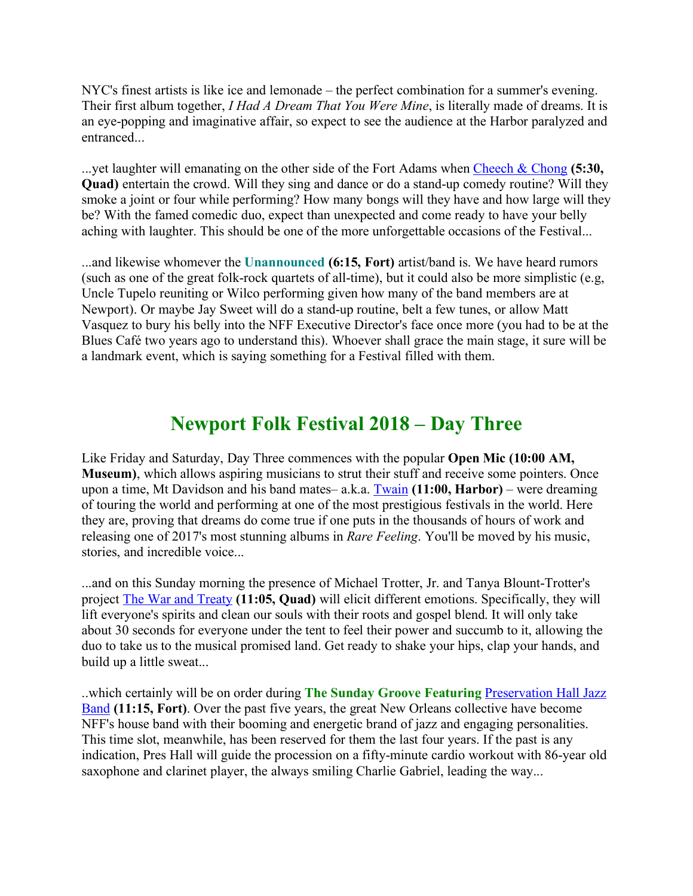NYC's finest artists is like ice and lemonade – the perfect combination for a summer's evening. Their first album together, *I Had A Dream That You Were Mine*, is literally made of dreams. It is an eye-popping and imaginative affair, so expect to see the audience at the Harbor paralyzed and entranced...

...yet laughter will emanating on the other side of the Fort Adams when Cheech & Chong **(5:30, Quad)** entertain the crowd. Will they sing and dance or do a stand-up comedy routine? Will they smoke a joint or four while performing? How many bongs will they have and how large will they be? With the famed comedic duo, expect than unexpected and come ready to have your belly aching with laughter. This should be one of the more unforgettable occasions of the Festival...

...and likewise whomever the **Unannounced (6:15, Fort)** artist/band is. We have heard rumors (such as one of the great folk-rock quartets of all-time), but it could also be more simplistic (e.g, Uncle Tupelo reuniting or Wilco performing given how many of the band members are at Newport). Or maybe Jay Sweet will do a stand-up routine, belt a few tunes, or allow Matt Vasquez to bury his belly into the NFF Executive Director's face once more (you had to be at the Blues Café two years ago to understand this). Whoever shall grace the main stage, it sure will be a landmark event, which is saying something for a Festival filled with them.

## **Newport Folk Festival 2018 – Day Three**

Like Friday and Saturday, Day Three commences with the popular **Open Mic (10:00 AM, Museum)**, which allows aspiring musicians to strut their stuff and receive some pointers. Once upon a time, Mt Davidson and his band mates– a.k.a. Twain **(11:00, Harbor)** – were dreaming of touring the world and performing at one of the most prestigious festivals in the world. Here they are, proving that dreams do come true if one puts in the thousands of hours of work and releasing one of 2017's most stunning albums in *Rare Feeling*. You'll be moved by his music, stories, and incredible voice...

...and on this Sunday morning the presence of Michael Trotter, Jr. and Tanya Blount-Trotter's project The War and Treaty **(11:05, Quad)** will elicit different emotions. Specifically, they will lift everyone's spirits and clean our souls with their roots and gospel blend. It will only take about 30 seconds for everyone under the tent to feel their power and succumb to it, allowing the duo to take us to the musical promised land. Get ready to shake your hips, clap your hands, and build up a little sweat...

..which certainly will be on order during **The Sunday Groove Featuring** Preservation Hall Jazz Band **(11:15, Fort)**. Over the past five years, the great New Orleans collective have become NFF's house band with their booming and energetic brand of jazz and engaging personalities. This time slot, meanwhile, has been reserved for them the last four years. If the past is any indication, Pres Hall will guide the procession on a fifty-minute cardio workout with 86-year old saxophone and clarinet player, the always smiling Charlie Gabriel, leading the way...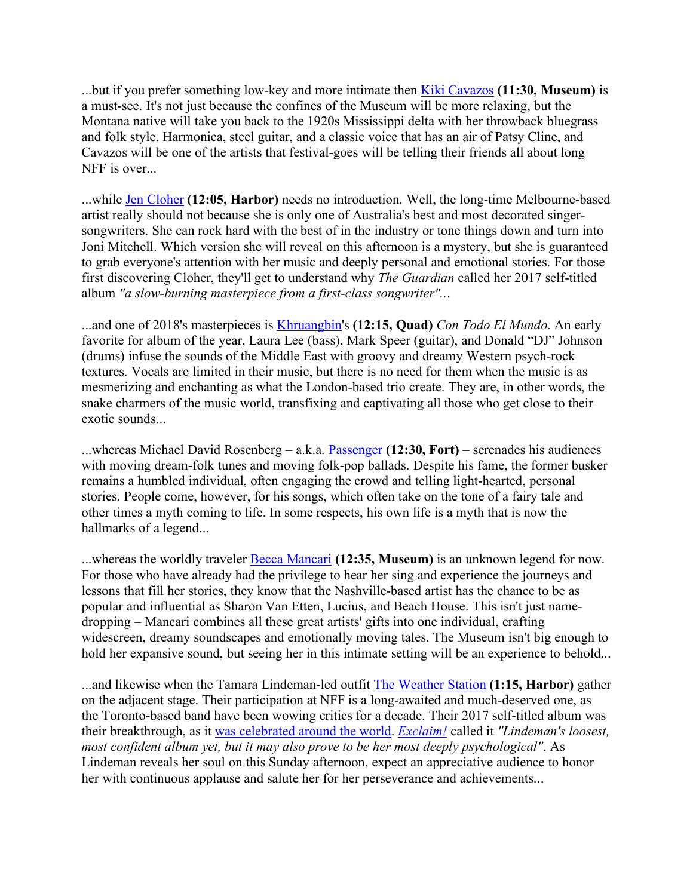...but if you prefer something low-key and more intimate then Kiki Cavazos **(11:30, Museum)** is a must-see. It's not just because the confines of the Museum will be more relaxing, but the Montana native will take you back to the 1920s Mississippi delta with her throwback bluegrass and folk style. Harmonica, steel guitar, and a classic voice that has an air of Patsy Cline, and Cavazos will be one of the artists that festival-goes will be telling their friends all about long NFF is over...

...while Jen Cloher **(12:05, Harbor)** needs no introduction. Well, the long-time Melbourne-based artist really should not because she is only one of Australia's best and most decorated singersongwriters. She can rock hard with the best of in the industry or tone things down and turn into Joni Mitchell. Which version she will reveal on this afternoon is a mystery, but she is guaranteed to grab everyone's attention with her music and deeply personal and emotional stories. For those first discovering Cloher, they'll get to understand why *The Guardian* called her 2017 self-titled album *"a slow-burning masterpiece from a first-class songwriter"..*.

...and one of 2018's masterpieces is Khruangbin's **(12:15, Quad)** *Con Todo El Mundo*. An early favorite for album of the year, Laura Lee (bass), Mark Speer (guitar), and Donald "DJ" Johnson (drums) infuse the sounds of the Middle East with groovy and dreamy Western psych-rock textures. Vocals are limited in their music, but there is no need for them when the music is as mesmerizing and enchanting as what the London-based trio create. They are, in other words, the snake charmers of the music world, transfixing and captivating all those who get close to their exotic sounds...

...whereas Michael David Rosenberg – a.k.a. Passenger **(12:30, Fort)** – serenades his audiences with moving dream-folk tunes and moving folk-pop ballads. Despite his fame, the former busker remains a humbled individual, often engaging the crowd and telling light-hearted, personal stories. People come, however, for his songs, which often take on the tone of a fairy tale and other times a myth coming to life. In some respects, his own life is a myth that is now the hallmarks of a legend...

...whereas the worldly traveler Becca Mancari **(12:35, Museum)** is an unknown legend for now. For those who have already had the privilege to hear her sing and experience the journeys and lessons that fill her stories, they know that the Nashville-based artist has the chance to be as popular and influential as Sharon Van Etten, Lucius, and Beach House. This isn't just namedropping – Mancari combines all these great artists' gifts into one individual, crafting widescreen, dreamy soundscapes and emotionally moving tales. The Museum isn't big enough to hold her expansive sound, but seeing her in this intimate setting will be an experience to behold...

...and likewise when the Tamara Lindeman-led outfit The Weather Station **(1:15, Harbor)** gather on the adjacent stage. Their participation at NFF is a long-awaited and much-deserved one, as the Toronto-based band have been wowing critics for a decade. Their 2017 self-titled album was their breakthrough, as it was celebrated around the world. *Exclaim!* called it *"Lindeman's loosest, most confident album yet, but it may also prove to be her most deeply psychological"*. As Lindeman reveals her soul on this Sunday afternoon, expect an appreciative audience to honor her with continuous applause and salute her for her perseverance and achievements...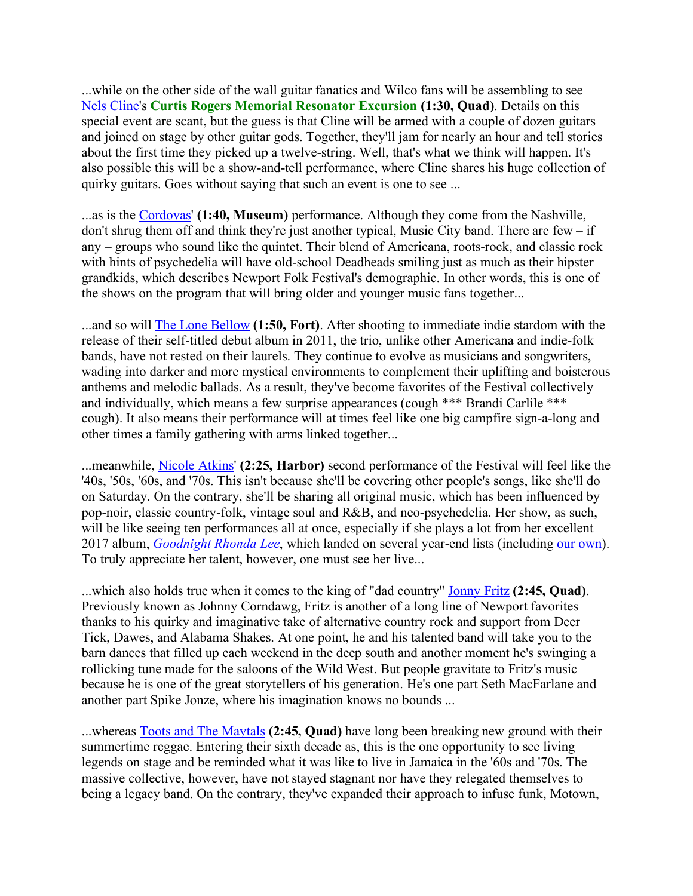...while on the other side of the wall guitar fanatics and Wilco fans will be assembling to see Nels Cline's **Curtis Rogers Memorial Resonator Excursion (1:30, Quad)**. Details on this special event are scant, but the guess is that Cline will be armed with a couple of dozen guitars and joined on stage by other guitar gods. Together, they'll jam for nearly an hour and tell stories about the first time they picked up a twelve-string. Well, that's what we think will happen. It's also possible this will be a show-and-tell performance, where Cline shares his huge collection of quirky guitars. Goes without saying that such an event is one to see ...

...as is the Cordovas' **(1:40, Museum)** performance. Although they come from the Nashville, don't shrug them off and think they're just another typical, Music City band. There are  $f_{\text{ew}} - if$ any – groups who sound like the quintet. Their blend of Americana, roots-rock, and classic rock with hints of psychedelia will have old-school Deadheads smiling just as much as their hipster grandkids, which describes Newport Folk Festival's demographic. In other words, this is one of the shows on the program that will bring older and younger music fans together...

...and so will The Lone Bellow **(1:50, Fort)**. After shooting to immediate indie stardom with the release of their self-titled debut album in 2011, the trio, unlike other Americana and indie-folk bands, have not rested on their laurels. They continue to evolve as musicians and songwriters, wading into darker and more mystical environments to complement their uplifting and boisterous anthems and melodic ballads. As a result, they've become favorites of the Festival collectively and individually, which means a few surprise appearances (cough \*\*\* Brandi Carlile \*\*\* cough). It also means their performance will at times feel like one big campfire sign-a-long and other times a family gathering with arms linked together...

...meanwhile, Nicole Atkins' **(2:25, Harbor)** second performance of the Festival will feel like the '40s, '50s, '60s, and '70s. This isn't because she'll be covering other people's songs, like she'll do on Saturday. On the contrary, she'll be sharing all original music, which has been influenced by pop-noir, classic country-folk, vintage soul and R&B, and neo-psychedelia. Her show, as such, will be like seeing ten performances all at once, especially if she plays a lot from her excellent 2017 album, *Goodnight Rhonda Lee*, which landed on several year-end lists (including our own). To truly appreciate her talent, however, one must see her live...

...which also holds true when it comes to the king of "dad country" Jonny Fritz **(2:45, Quad)**. Previously known as Johnny Corndawg, Fritz is another of a long line of Newport favorites thanks to his quirky and imaginative take of alternative country rock and support from Deer Tick, Dawes, and Alabama Shakes. At one point, he and his talented band will take you to the barn dances that filled up each weekend in the deep south and another moment he's swinging a rollicking tune made for the saloons of the Wild West. But people gravitate to Fritz's music because he is one of the great storytellers of his generation. He's one part Seth MacFarlane and another part Spike Jonze, where his imagination knows no bounds ...

...whereas Toots and The Maytals **(2:45, Quad)** have long been breaking new ground with their summertime reggae. Entering their sixth decade as, this is the one opportunity to see living legends on stage and be reminded what it was like to live in Jamaica in the '60s and '70s. The massive collective, however, have not stayed stagnant nor have they relegated themselves to being a legacy band. On the contrary, they've expanded their approach to infuse funk, Motown,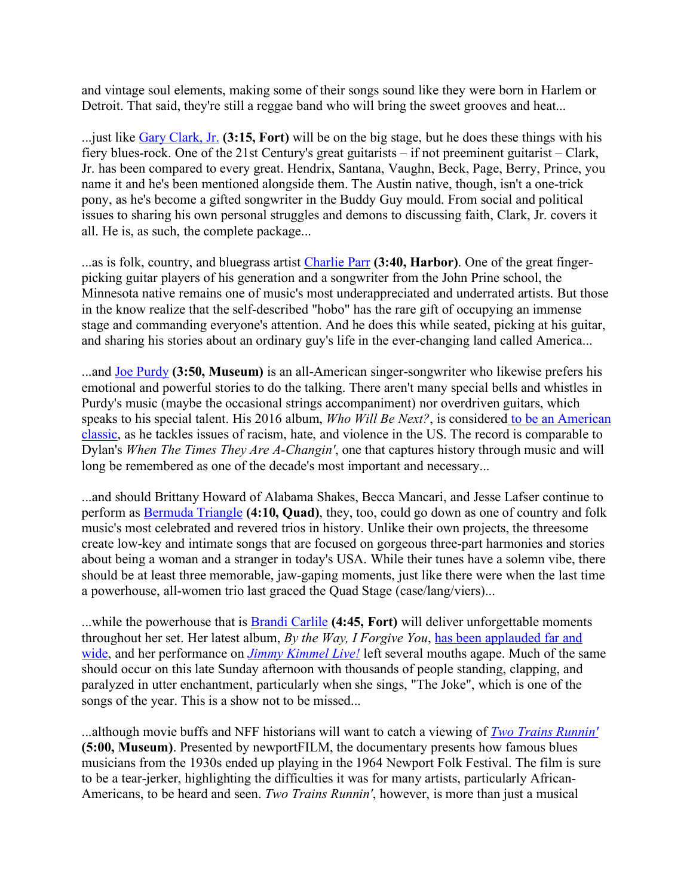and vintage soul elements, making some of their songs sound like they were born in Harlem or Detroit. That said, they're still a reggae band who will bring the sweet grooves and heat...

...just like Gary Clark, Jr. **(3:15, Fort)** will be on the big stage, but he does these things with his fiery blues-rock. One of the 21st Century's great guitarists – if not preeminent guitarist – Clark, Jr. has been compared to every great. Hendrix, Santana, Vaughn, Beck, Page, Berry, Prince, you name it and he's been mentioned alongside them. The Austin native, though, isn't a one-trick pony, as he's become a gifted songwriter in the Buddy Guy mould. From social and political issues to sharing his own personal struggles and demons to discussing faith, Clark, Jr. covers it all. He is, as such, the complete package...

...as is folk, country, and bluegrass artist Charlie Parr **(3:40, Harbor)**. One of the great fingerpicking guitar players of his generation and a songwriter from the John Prine school, the Minnesota native remains one of music's most underappreciated and underrated artists. But those in the know realize that the self-described "hobo" has the rare gift of occupying an immense stage and commanding everyone's attention. And he does this while seated, picking at his guitar, and sharing his stories about an ordinary guy's life in the ever-changing land called America...

...and Joe Purdy **(3:50, Museum)** is an all-American singer-songwriter who likewise prefers his emotional and powerful stories to do the talking. There aren't many special bells and whistles in Purdy's music (maybe the occasional strings accompaniment) nor overdriven guitars, which speaks to his special talent. His 2016 album, *Who Will Be Next?*, is considered to be an American classic, as he tackles issues of racism, hate, and violence in the US. The record is comparable to Dylan's *When The Times They Are A-Changin'*, one that captures history through music and will long be remembered as one of the decade's most important and necessary...

...and should Brittany Howard of Alabama Shakes, Becca Mancari, and Jesse Lafser continue to perform as Bermuda Triangle **(4:10, Quad)**, they, too, could go down as one of country and folk music's most celebrated and revered trios in history. Unlike their own projects, the threesome create low-key and intimate songs that are focused on gorgeous three-part harmonies and stories about being a woman and a stranger in today's USA. While their tunes have a solemn vibe, there should be at least three memorable, jaw-gaping moments, just like there were when the last time a powerhouse, all-women trio last graced the Quad Stage (case/lang/viers)...

...while the powerhouse that is Brandi Carlile **(4:45, Fort)** will deliver unforgettable moments throughout her set. Her latest album, *By the Way, I Forgive You*, has been applauded far and wide, and her performance on *Jimmy Kimmel Live!* left several mouths agape. Much of the same should occur on this late Sunday afternoon with thousands of people standing, clapping, and paralyzed in utter enchantment, particularly when she sings, "The Joke", which is one of the songs of the year. This is a show not to be missed...

...although movie buffs and NFF historians will want to catch a viewing of *Two Trains Runnin'* **(5:00, Museum)**. Presented by newportFILM, the documentary presents how famous blues musicians from the 1930s ended up playing in the 1964 Newport Folk Festival. The film is sure to be a tear-jerker, highlighting the difficulties it was for many artists, particularly African-Americans, to be heard and seen. *Two Trains Runnin'*, however, is more than just a musical